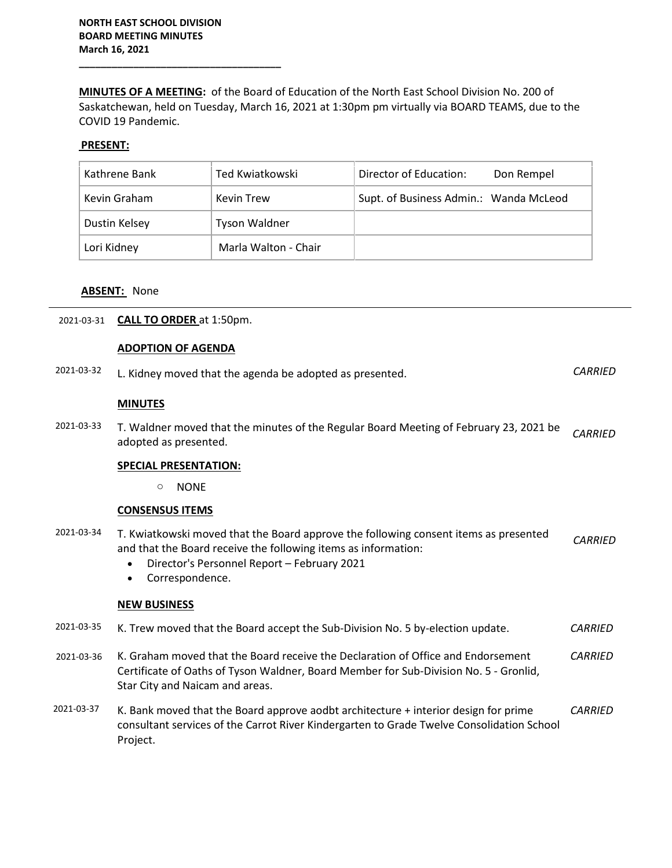**\_\_\_\_\_\_\_\_\_\_\_\_\_\_\_\_\_\_\_\_\_\_\_\_\_\_\_\_\_\_\_\_\_\_\_\_\_**

**MINUTES OF A MEETING:** of the Board of Education of the North East School Division No. 200 of Saskatchewan, held on Tuesday, March 16, 2021 at 1:30pm pm virtually via BOARD TEAMS, due to the COVID 19 Pandemic.

# **PRESENT:**

| Kathrene Bank | Ted Kwiatkowski      | Director of Education:<br>Don Rempel   |
|---------------|----------------------|----------------------------------------|
| Kevin Graham  | Kevin Trew           | Supt. of Business Admin.: Wanda McLeod |
| Dustin Kelsey | <b>Tyson Waldner</b> |                                        |
| Lori Kidney   | Marla Walton - Chair |                                        |

### **ABSENT:** None

## 2021-03-31 **CALL TO ORDER** at 1:50pm.

#### **ADOPTION OF AGENDA**

| 2021-03-32 | L. Kidney moved that the agenda be adopted as presented.                                                                                                                                                                              | <b>CARRIED</b> |
|------------|---------------------------------------------------------------------------------------------------------------------------------------------------------------------------------------------------------------------------------------|----------------|
|            | <b>MINUTES</b>                                                                                                                                                                                                                        |                |
| 2021-03-33 | T. Waldner moved that the minutes of the Regular Board Meeting of February 23, 2021 be<br>adopted as presented.                                                                                                                       | <b>CARRIED</b> |
|            | <b>SPECIAL PRESENTATION:</b>                                                                                                                                                                                                          |                |
|            | <b>NONE</b><br>O                                                                                                                                                                                                                      |                |
|            | <b>CONSENSUS ITEMS</b>                                                                                                                                                                                                                |                |
| 2021-03-34 | T. Kwiatkowski moved that the Board approve the following consent items as presented<br>and that the Board receive the following items as information:<br>Director's Personnel Report - February 2021<br>Correspondence.<br>$\bullet$ | <b>CARRIED</b> |
|            | <b>NEW BUSINESS</b>                                                                                                                                                                                                                   |                |
| 2021-03-35 | K. Trew moved that the Board accept the Sub-Division No. 5 by-election update.                                                                                                                                                        | <b>CARRIED</b> |
| 2021-03-36 | K. Graham moved that the Board receive the Declaration of Office and Endorsement<br>Certificate of Oaths of Tyson Waldner, Board Member for Sub-Division No. 5 - Gronlid,<br>Star City and Naicam and areas.                          | <b>CARRIED</b> |
| 2021-03-37 | K. Bank moved that the Board approve aodbt architecture + interior design for prime<br>consultant services of the Carrot River Kindergarten to Grade Twelve Consolidation School<br>Project.                                          | <b>CARRIED</b> |